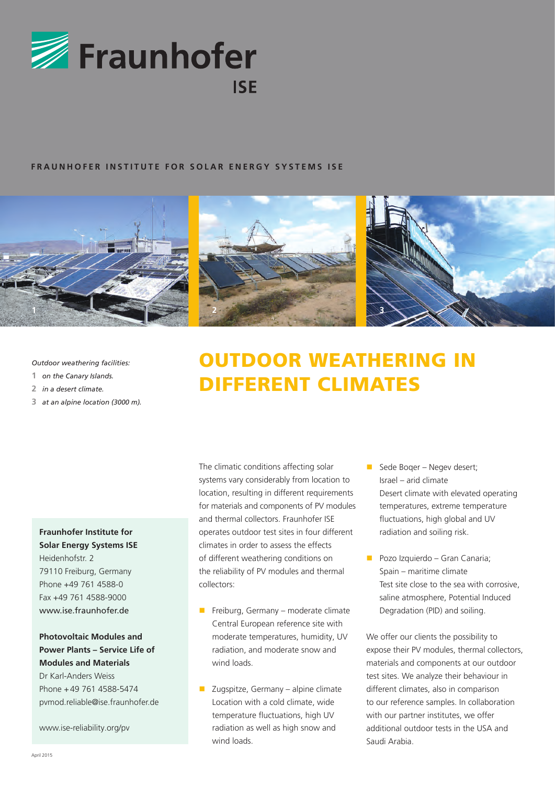

## **FRAUNHOFER INSTITUTE FOR SOLAR ENERGY SYSTEMS ISE**



*Outdoor weathering facilities:*

- **1** *on the Canary Islands.*
- **2** *in a desert climate.*
- **3** *at an alpine location (3000 m).*

# **Fraunhofer Institute for Solar Energy Systems ISE** Heidenhofstr. 2 79110 Freiburg, Germany Phone +49 761 4588-0 Fax +49 761 4588-9000 www.ise.fraunhofer.de

## **Photovoltaic Modules and Power Plants – Service Life of Modules and Materials**

Dr Karl-Anders Weiss Phone +49 761 4588-5474 pvmod.reliable@ise.fraunhofer.de

www.ise-reliability.org/pv

# **OUTDOOR WEATHERING IN** different climates

The climatic conditions affecting solar systems vary considerably from location to location, resulting in different requirements for materials and components of PV modules and thermal collectors. Fraunhofer ISE operates outdoor test sites in four different climates in order to assess the effects of different weathering conditions on the reliability of PV modules and thermal collectors:

- Freiburg, Germany moderate climate Central European reference site with moderate temperatures, humidity, UV radiation, and moderate snow and wind loads.
- $\blacksquare$  Zugspitze, Germany alpine climate Location with a cold climate, wide temperature fluctuations, high UV radiation as well as high snow and wind loads.
- Sede Boger Negev desert; Israel – arid climate Desert climate with elevated operating temperatures, extreme temperature fluctuations, high global and UV radiation and soiling risk.
- **Pozo Izquierdo Gran Canaria;** Spain – maritime climate Test site close to the sea with corrosive, saline atmosphere, Potential Induced Degradation (PID) and soiling.

We offer our clients the possibility to expose their PV modules, thermal collectors, materials and components at our outdoor test sites. We analyze their behaviour in different climates, also in comparison to our reference samples. In collaboration with our partner institutes, we offer additional outdoor tests in the USA and Saudi Arabia.